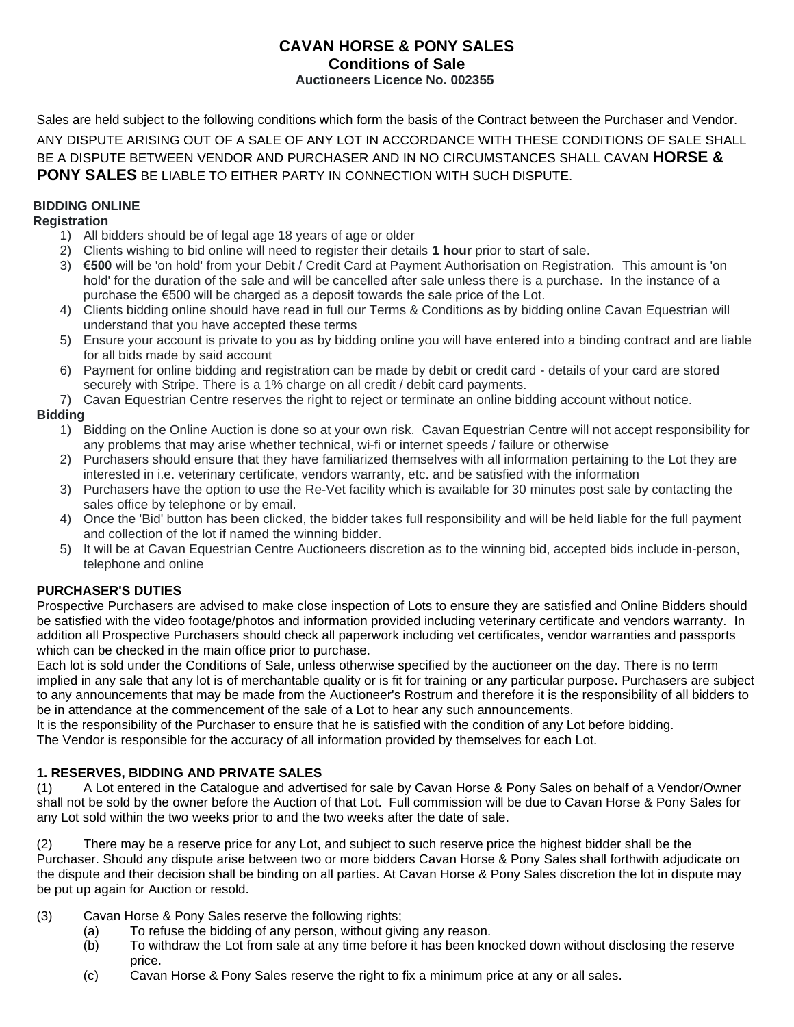### **CAVAN HORSE & PONY SALES Conditions of Sale Auctioneers Licence No. 002355**

Sales are held subject to the following conditions which form the basis of the Contract between the Purchaser and Vendor. ANY DISPUTE ARISING OUT OF A SALE OF ANY LOT IN ACCORDANCE WITH THESE CONDITIONS OF SALE SHALL BE A DISPUTE BETWEEN VENDOR AND PURCHASER AND IN NO CIRCUMSTANCES SHALL CAVAN **HORSE & PONY SALES** BE LIABLE TO EITHER PARTY IN CONNECTION WITH SUCH DISPUTE.

# **BIDDING ONLINE**

# **Registration**

- 1) All bidders should be of legal age 18 years of age or older
- 2) Clients wishing to bid online will need to register their details **1 hour** prior to start of sale.
- 3) **€500** will be 'on hold' from your Debit / Credit Card at Payment Authorisation on Registration. This amount is 'on hold' for the duration of the sale and will be cancelled after sale unless there is a purchase. In the instance of a purchase the €500 will be charged as a deposit towards the sale price of the Lot.
- 4) Clients bidding online should have read in full our Terms & Conditions as by bidding online Cavan Equestrian will understand that you have accepted these terms
- 5) Ensure your account is private to you as by bidding online you will have entered into a binding contract and are liable for all bids made by said account
- 6) Payment for online bidding and registration can be made by debit or credit card details of your card are stored securely with Stripe. There is a 1% charge on all credit / debit card payments.
- 7) Cavan Equestrian Centre reserves the right to reject or terminate an online bidding account without notice.

# **Bidding**

- 1) Bidding on the Online Auction is done so at your own risk. Cavan Equestrian Centre will not accept responsibility for any problems that may arise whether technical, wi-fi or internet speeds / failure or otherwise
- 2) Purchasers should ensure that they have familiarized themselves with all information pertaining to the Lot they are interested in i.e. veterinary certificate, vendors warranty, etc. and be satisfied with the information
- 3) Purchasers have the option to use the Re-Vet facility which is available for 30 minutes post sale by contacting the sales office by telephone or by email.
- 4) Once the 'Bid' button has been clicked, the bidder takes full responsibility and will be held liable for the full payment and collection of the lot if named the winning bidder.
- 5) It will be at Cavan Equestrian Centre Auctioneers discretion as to the winning bid, accepted bids include in-person, telephone and online

### **PURCHASER'S DUTIES**

Prospective Purchasers are advised to make close inspection of Lots to ensure they are satisfied and Online Bidders should be satisfied with the video footage/photos and information provided including veterinary certificate and vendors warranty. In addition all Prospective Purchasers should check all paperwork including vet certificates, vendor warranties and passports which can be checked in the main office prior to purchase.

Each lot is sold under the Conditions of Sale, unless otherwise specified by the auctioneer on the day. There is no term implied in any sale that any lot is of merchantable quality or is fit for training or any particular purpose. Purchasers are subject to any announcements that may be made from the Auctioneer's Rostrum and therefore it is the responsibility of all bidders to be in attendance at the commencement of the sale of a Lot to hear any such announcements.

It is the responsibility of the Purchaser to ensure that he is satisfied with the condition of any Lot before bidding. The Vendor is responsible for the accuracy of all information provided by themselves for each Lot.

### **1. RESERVES, BIDDING AND PRIVATE SALES**

(1) A Lot entered in the Catalogue and advertised for sale by Cavan Horse & Pony Sales on behalf of a Vendor/Owner shall not be sold by the owner before the Auction of that Lot. Full commission will be due to Cavan Horse & Pony Sales for any Lot sold within the two weeks prior to and the two weeks after the date of sale.

(2) There may be a reserve price for any Lot, and subject to such reserve price the highest bidder shall be the Purchaser. Should any dispute arise between two or more bidders Cavan Horse & Pony Sales shall forthwith adjudicate on the dispute and their decision shall be binding on all parties. At Cavan Horse & Pony Sales discretion the lot in dispute may be put up again for Auction or resold.

- (3) Cavan Horse & Pony Sales reserve the following rights;
	- (a) To refuse the bidding of any person, without giving any reason.
	- (b) To withdraw the Lot from sale at any time before it has been knocked down without disclosing the reserve price.
	- (c) Cavan Horse & Pony Sales reserve the right to fix a minimum price at any or all sales.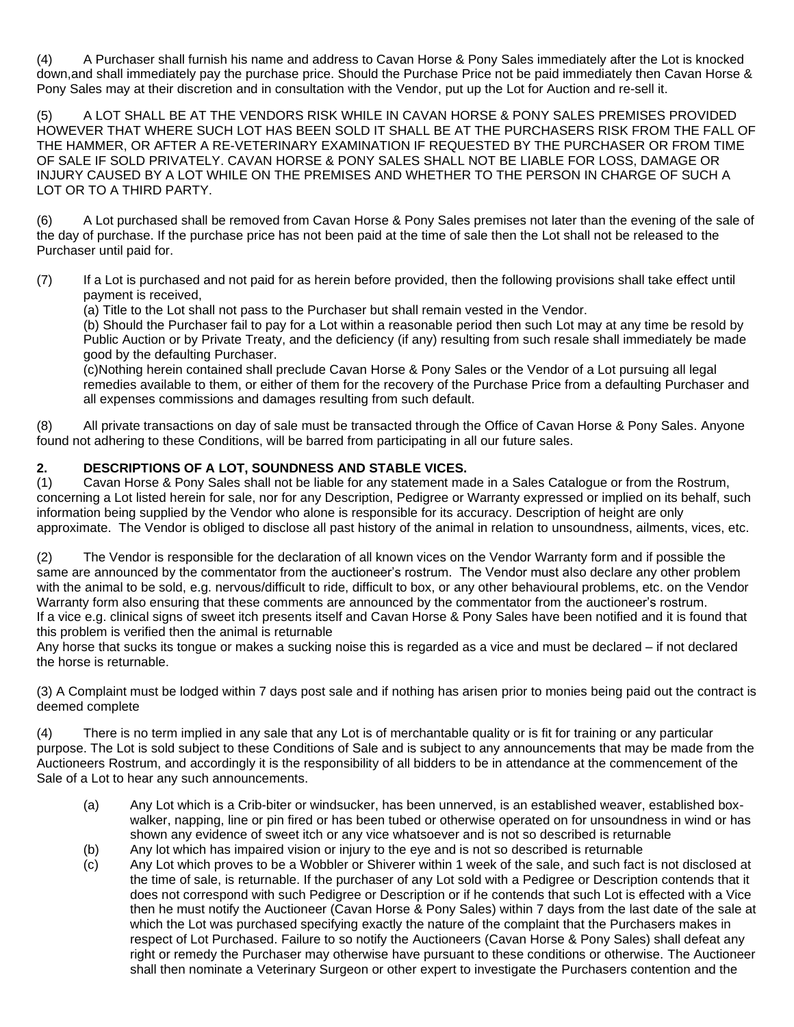(4) A Purchaser shall furnish his name and address to Cavan Horse & Pony Sales immediately after the Lot is knocked down,and shall immediately pay the purchase price. Should the Purchase Price not be paid immediately then Cavan Horse & Pony Sales may at their discretion and in consultation with the Vendor, put up the Lot for Auction and re-sell it.

(5) A LOT SHALL BE AT THE VENDORS RISK WHILE IN CAVAN HORSE & PONY SALES PREMISES PROVIDED HOWEVER THAT WHERE SUCH LOT HAS BEEN SOLD IT SHALL BE AT THE PURCHASERS RISK FROM THE FALL OF THE HAMMER, OR AFTER A RE-VETERINARY EXAMINATION IF REQUESTED BY THE PURCHASER OR FROM TIME OF SALE IF SOLD PRIVATELY. CAVAN HORSE & PONY SALES SHALL NOT BE LIABLE FOR LOSS, DAMAGE OR INJURY CAUSED BY A LOT WHILE ON THE PREMISES AND WHETHER TO THE PERSON IN CHARGE OF SUCH A LOT OR TO A THIRD PARTY.

(6) A Lot purchased shall be removed from Cavan Horse & Pony Sales premises not later than the evening of the sale of the day of purchase. If the purchase price has not been paid at the time of sale then the Lot shall not be released to the Purchaser until paid for.

(7) If a Lot is purchased and not paid for as herein before provided, then the following provisions shall take effect until payment is received,

(a) Title to the Lot shall not pass to the Purchaser but shall remain vested in the Vendor.

(b) Should the Purchaser fail to pay for a Lot within a reasonable period then such Lot may at any time be resold by Public Auction or by Private Treaty, and the deficiency (if any) resulting from such resale shall immediately be made good by the defaulting Purchaser.

(c)Nothing herein contained shall preclude Cavan Horse & Pony Sales or the Vendor of a Lot pursuing all legal remedies available to them, or either of them for the recovery of the Purchase Price from a defaulting Purchaser and all expenses commissions and damages resulting from such default.

(8) All private transactions on day of sale must be transacted through the Office of Cavan Horse & Pony Sales. Anyone found not adhering to these Conditions, will be barred from participating in all our future sales.

# **2. DESCRIPTIONS OF A LOT, SOUNDNESS AND STABLE VICES.**

(1) Cavan Horse & Pony Sales shall not be liable for any statement made in a Sales Catalogue or from the Rostrum, concerning a Lot listed herein for sale, nor for any Description, Pedigree or Warranty expressed or implied on its behalf, such information being supplied by the Vendor who alone is responsible for its accuracy. Description of height are only approximate. The Vendor is obliged to disclose all past history of the animal in relation to unsoundness, ailments, vices, etc.

(2) The Vendor is responsible for the declaration of all known vices on the Vendor Warranty form and if possible the same are announced by the commentator from the auctioneer's rostrum. The Vendor must also declare any other problem with the animal to be sold, e.g. nervous/difficult to ride, difficult to box, or any other behavioural problems, etc. on the Vendor Warranty form also ensuring that these comments are announced by the commentator from the auctioneer's rostrum. If a vice e.g. clinical signs of sweet itch presents itself and Cavan Horse & Pony Sales have been notified and it is found that this problem is verified then the animal is returnable

Any horse that sucks its tongue or makes a sucking noise this is regarded as a vice and must be declared – if not declared the horse is returnable.

(3) A Complaint must be lodged within 7 days post sale and if nothing has arisen prior to monies being paid out the contract is deemed complete

(4) There is no term implied in any sale that any Lot is of merchantable quality or is fit for training or any particular purpose. The Lot is sold subject to these Conditions of Sale and is subject to any announcements that may be made from the Auctioneers Rostrum, and accordingly it is the responsibility of all bidders to be in attendance at the commencement of the Sale of a Lot to hear any such announcements.

- (a) Any Lot which is a Crib-biter or windsucker, has been unnerved, is an established weaver, established boxwalker, napping, line or pin fired or has been tubed or otherwise operated on for unsoundness in wind or has shown any evidence of sweet itch or any vice whatsoever and is not so described is returnable
- (b) Any lot which has impaired vision or injury to the eye and is not so described is returnable
- (c) Any Lot which proves to be a Wobbler or Shiverer within 1 week of the sale, and such fact is not disclosed at the time of sale, is returnable. If the purchaser of any Lot sold with a Pedigree or Description contends that it does not correspond with such Pedigree or Description or if he contends that such Lot is effected with a Vice then he must notify the Auctioneer (Cavan Horse & Pony Sales) within 7 days from the last date of the sale at which the Lot was purchased specifying exactly the nature of the complaint that the Purchasers makes in respect of Lot Purchased. Failure to so notify the Auctioneers (Cavan Horse & Pony Sales) shall defeat any right or remedy the Purchaser may otherwise have pursuant to these conditions or otherwise. The Auctioneer shall then nominate a Veterinary Surgeon or other expert to investigate the Purchasers contention and the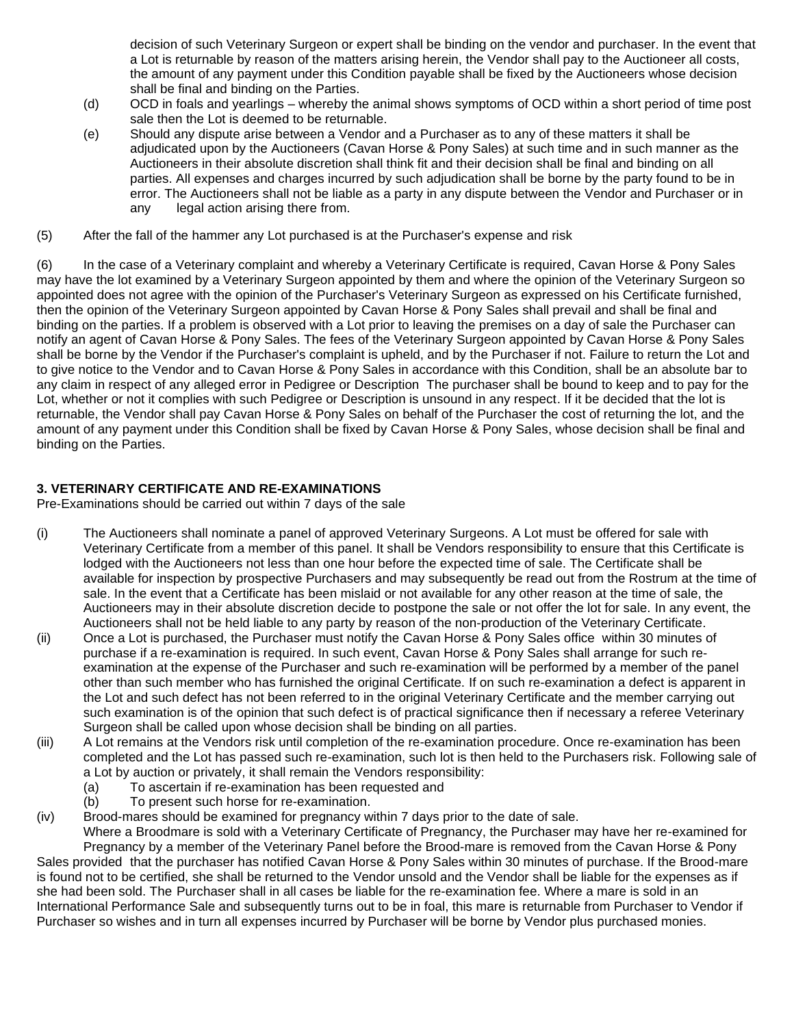decision of such Veterinary Surgeon or expert shall be binding on the vendor and purchaser. In the event that a Lot is returnable by reason of the matters arising herein, the Vendor shall pay to the Auctioneer all costs, the amount of any payment under this Condition payable shall be fixed by the Auctioneers whose decision shall be final and binding on the Parties.

- (d) OCD in foals and yearlings whereby the animal shows symptoms of OCD within a short period of time post sale then the Lot is deemed to be returnable.
- (e) Should any dispute arise between a Vendor and a Purchaser as to any of these matters it shall be adjudicated upon by the Auctioneers (Cavan Horse & Pony Sales) at such time and in such manner as the Auctioneers in their absolute discretion shall think fit and their decision shall be final and binding on all parties. All expenses and charges incurred by such adjudication shall be borne by the party found to be in error. The Auctioneers shall not be liable as a party in any dispute between the Vendor and Purchaser or in any legal action arising there from.
- (5) After the fall of the hammer any Lot purchased is at the Purchaser's expense and risk

(6) In the case of a Veterinary complaint and whereby a Veterinary Certificate is required, Cavan Horse & Pony Sales may have the lot examined by a Veterinary Surgeon appointed by them and where the opinion of the Veterinary Surgeon so appointed does not agree with the opinion of the Purchaser's Veterinary Surgeon as expressed on his Certificate furnished, then the opinion of the Veterinary Surgeon appointed by Cavan Horse & Pony Sales shall prevail and shall be final and binding on the parties. If a problem is observed with a Lot prior to leaving the premises on a day of sale the Purchaser can notify an agent of Cavan Horse & Pony Sales. The fees of the Veterinary Surgeon appointed by Cavan Horse & Pony Sales shall be borne by the Vendor if the Purchaser's complaint is upheld, and by the Purchaser if not. Failure to return the Lot and to give notice to the Vendor and to Cavan Horse & Pony Sales in accordance with this Condition, shall be an absolute bar to any claim in respect of any alleged error in Pedigree or Description The purchaser shall be bound to keep and to pay for the Lot, whether or not it complies with such Pedigree or Description is unsound in any respect. If it be decided that the lot is returnable, the Vendor shall pay Cavan Horse & Pony Sales on behalf of the Purchaser the cost of returning the lot, and the amount of any payment under this Condition shall be fixed by Cavan Horse & Pony Sales, whose decision shall be final and binding on the Parties.

# **3. VETERINARY CERTIFICATE AND RE-EXAMINATIONS**

Pre-Examinations should be carried out within 7 days of the sale

- (i) The Auctioneers shall nominate a panel of approved Veterinary Surgeons. A Lot must be offered for sale with Veterinary Certificate from a member of this panel. It shall be Vendors responsibility to ensure that this Certificate is lodged with the Auctioneers not less than one hour before the expected time of sale. The Certificate shall be available for inspection by prospective Purchasers and may subsequently be read out from the Rostrum at the time of sale. In the event that a Certificate has been mislaid or not available for any other reason at the time of sale, the Auctioneers may in their absolute discretion decide to postpone the sale or not offer the lot for sale. In any event, the Auctioneers shall not be held liable to any party by reason of the non-production of the Veterinary Certificate.
- (ii) Once a Lot is purchased, the Purchaser must notify the Cavan Horse & Pony Sales office within 30 minutes of purchase if a re-examination is required. In such event, Cavan Horse & Pony Sales shall arrange for such reexamination at the expense of the Purchaser and such re-examination will be performed by a member of the panel other than such member who has furnished the original Certificate. If on such re-examination a defect is apparent in the Lot and such defect has not been referred to in the original Veterinary Certificate and the member carrying out such examination is of the opinion that such defect is of practical significance then if necessary a referee Veterinary Surgeon shall be called upon whose decision shall be binding on all parties.
- (iii) A Lot remains at the Vendors risk until completion of the re-examination procedure. Once re-examination has been completed and the Lot has passed such re-examination, such lot is then held to the Purchasers risk. Following sale of a Lot by auction or privately, it shall remain the Vendors responsibility:
	- (a) To ascertain if re-examination has been requested and
	- (b) To present such horse for re-examination.
- (iv) Brood-mares should be examined for pregnancy within 7 days prior to the date of sale.

Where a Broodmare is sold with a Veterinary Certificate of Pregnancy, the Purchaser may have her re-examined for Pregnancy by a member of the Veterinary Panel before the Brood-mare is removed from the Cavan Horse & Pony Sales provided that the purchaser has notified Cavan Horse & Pony Sales within 30 minutes of purchase. If the Brood-mare is found not to be certified, she shall be returned to the Vendor unsold and the Vendor shall be liable for the expenses as if she had been sold. The Purchaser shall in all cases be liable for the re-examination fee. Where a mare is sold in an International Performance Sale and subsequently turns out to be in foal, this mare is returnable from Purchaser to Vendor if Purchaser so wishes and in turn all expenses incurred by Purchaser will be borne by Vendor plus purchased monies.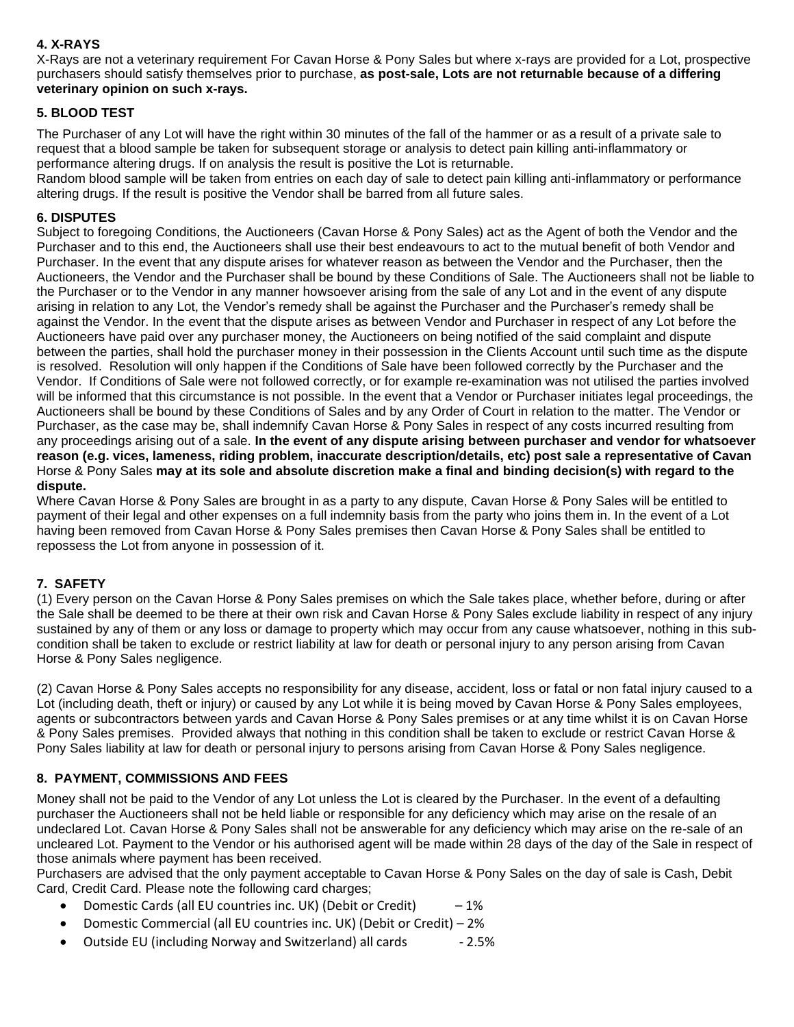# **4. X-RAYS**

X-Rays are not a veterinary requirement For Cavan Horse & Pony Sales but where x-rays are provided for a Lot, prospective purchasers should satisfy themselves prior to purchase, **as post-sale, Lots are not returnable because of a differing veterinary opinion on such x-rays.**

## **5. BLOOD TEST**

The Purchaser of any Lot will have the right within 30 minutes of the fall of the hammer or as a result of a private sale to request that a blood sample be taken for subsequent storage or analysis to detect pain killing anti-inflammatory or performance altering drugs. If on analysis the result is positive the Lot is returnable.

Random blood sample will be taken from entries on each day of sale to detect pain killing anti-inflammatory or performance altering drugs. If the result is positive the Vendor shall be barred from all future sales.

### **6. DISPUTES**

Subject to foregoing Conditions, the Auctioneers (Cavan Horse & Pony Sales) act as the Agent of both the Vendor and the Purchaser and to this end, the Auctioneers shall use their best endeavours to act to the mutual benefit of both Vendor and Purchaser. In the event that any dispute arises for whatever reason as between the Vendor and the Purchaser, then the Auctioneers, the Vendor and the Purchaser shall be bound by these Conditions of Sale. The Auctioneers shall not be liable to the Purchaser or to the Vendor in any manner howsoever arising from the sale of any Lot and in the event of any dispute arising in relation to any Lot, the Vendor's remedy shall be against the Purchaser and the Purchaser's remedy shall be against the Vendor. In the event that the dispute arises as between Vendor and Purchaser in respect of any Lot before the Auctioneers have paid over any purchaser money, the Auctioneers on being notified of the said complaint and dispute between the parties, shall hold the purchaser money in their possession in the Clients Account until such time as the dispute is resolved. Resolution will only happen if the Conditions of Sale have been followed correctly by the Purchaser and the Vendor. If Conditions of Sale were not followed correctly, or for example re-examination was not utilised the parties involved will be informed that this circumstance is not possible. In the event that a Vendor or Purchaser initiates legal proceedings, the Auctioneers shall be bound by these Conditions of Sales and by any Order of Court in relation to the matter. The Vendor or Purchaser, as the case may be, shall indemnify Cavan Horse & Pony Sales in respect of any costs incurred resulting from any proceedings arising out of a sale. **In the event of any dispute arising between purchaser and vendor for whatsoever reason (e.g. vices, lameness, riding problem, inaccurate description/details, etc) post sale a representative of Cavan**  Horse & Pony Sales **may at its sole and absolute discretion make a final and binding decision(s) with regard to the dispute.** 

Where Cavan Horse & Pony Sales are brought in as a party to any dispute, Cavan Horse & Pony Sales will be entitled to payment of their legal and other expenses on a full indemnity basis from the party who joins them in. In the event of a Lot having been removed from Cavan Horse & Pony Sales premises then Cavan Horse & Pony Sales shall be entitled to repossess the Lot from anyone in possession of it.

### **7. SAFETY**

(1) Every person on the Cavan Horse & Pony Sales premises on which the Sale takes place, whether before, during or after the Sale shall be deemed to be there at their own risk and Cavan Horse & Pony Sales exclude liability in respect of any injury sustained by any of them or any loss or damage to property which may occur from any cause whatsoever, nothing in this subcondition shall be taken to exclude or restrict liability at law for death or personal injury to any person arising from Cavan Horse & Pony Sales negligence.

(2) Cavan Horse & Pony Sales accepts no responsibility for any disease, accident, loss or fatal or non fatal injury caused to a Lot (including death, theft or injury) or caused by any Lot while it is being moved by Cavan Horse & Pony Sales employees, agents or subcontractors between yards and Cavan Horse & Pony Sales premises or at any time whilst it is on Cavan Horse & Pony Sales premises. Provided always that nothing in this condition shall be taken to exclude or restrict Cavan Horse & Pony Sales liability at law for death or personal injury to persons arising from Cavan Horse & Pony Sales negligence.

# **8. PAYMENT, COMMISSIONS AND FEES**

Money shall not be paid to the Vendor of any Lot unless the Lot is cleared by the Purchaser. In the event of a defaulting purchaser the Auctioneers shall not be held liable or responsible for any deficiency which may arise on the resale of an undeclared Lot. Cavan Horse & Pony Sales shall not be answerable for any deficiency which may arise on the re-sale of an uncleared Lot. Payment to the Vendor or his authorised agent will be made within 28 days of the day of the Sale in respect of those animals where payment has been received.

Purchasers are advised that the only payment acceptable to Cavan Horse & Pony Sales on the day of sale is Cash, Debit Card, Credit Card. Please note the following card charges;

- Domestic Cards (all EU countries inc. UK) (Debit or Credit)  $-1\%$
- Domestic Commercial (all EU countries inc. UK) (Debit or Credit) 2%
- Outside EU (including Norway and Switzerland) all cards 2.5%